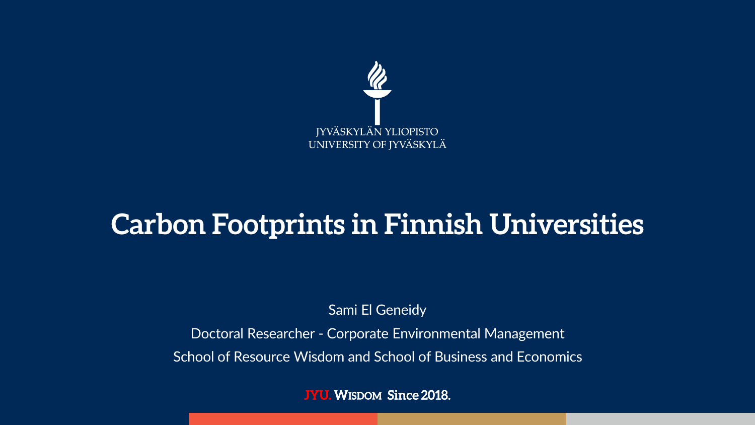

## **Carbon Footprints in Finnish Universities**

Sami El Geneidy

Doctoral Researcher - Corporate Environmental Management

School of Resource Wisdom and School of Business and Economics

**JYU. WISDOM Since 2018.**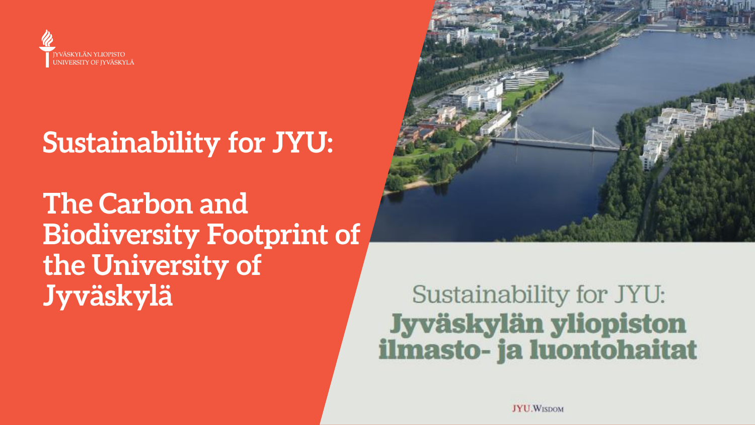

## **Sustainability for JYU:**

**The Carbon and Biodiversity Footprint of** the University of Jyväskylä



#### Sustainability for JYU: Jyväskylän yliopiston ilmasto- ja luontohaitat

**JYU.WISDOM**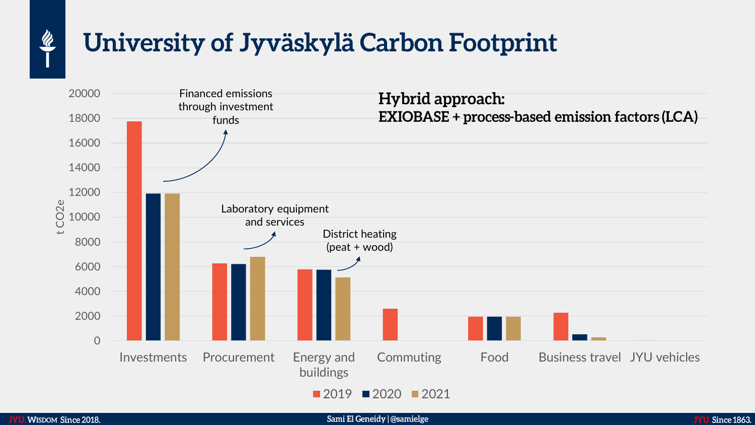## University of Jyväskylä Carbon Footprint



 $\frac{\mathscr{U}}{\mathscr{U}}$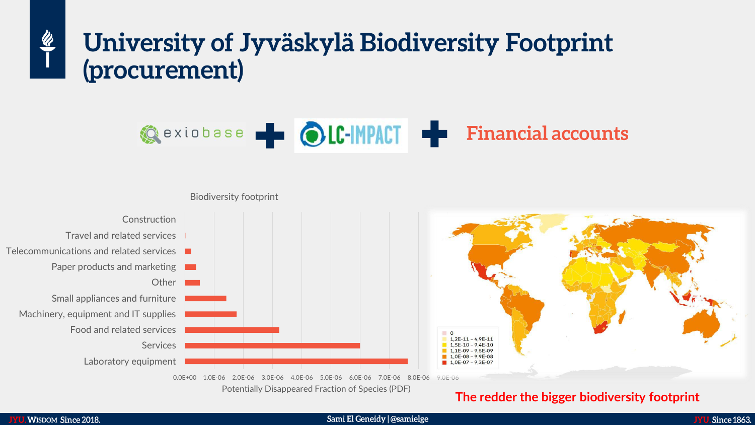#### University of Jyväskylä Biodiversity Footprint (procurement)





Potentially Disappeared Fraction of Species (PDF)

#### **The redder the bigger biodiversity footprint**

 $\frac{R}{1}$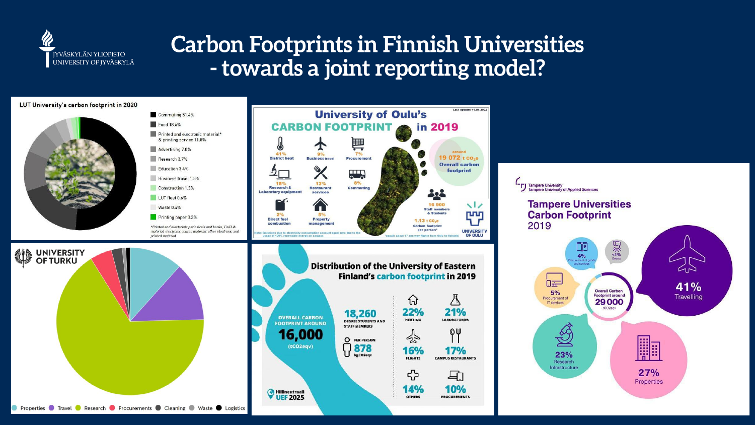

#### **Carbon Footprints in Finnish Universities** - towards a joint reporting model?





UNIVERSITY<br>OF TURKU



printed material





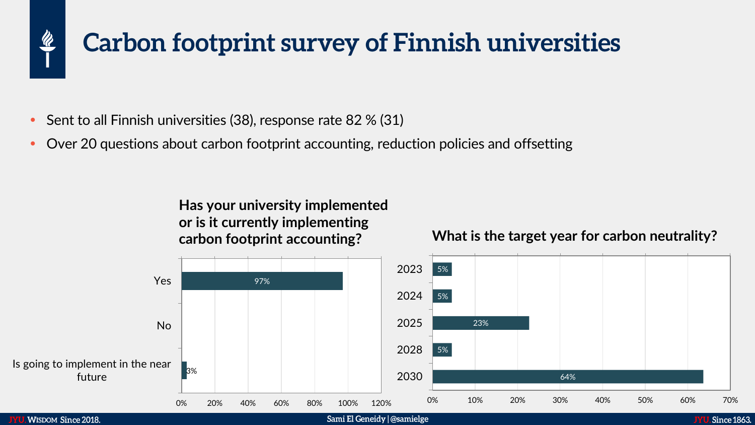#### **Carbon footprint survey of Finnish universities**

- Sent to all Finnish universities (38), response rate 82 % (31)
- Over 20 questions about carbon footprint accounting, reduction policies and offsetting

**Has your university implemented or is it currently implementing carbon footprint accounting?** 

#### **What is the target year for carbon neutrality?**



 $\frac{\mathscr{U}}{\mathscr{U}}$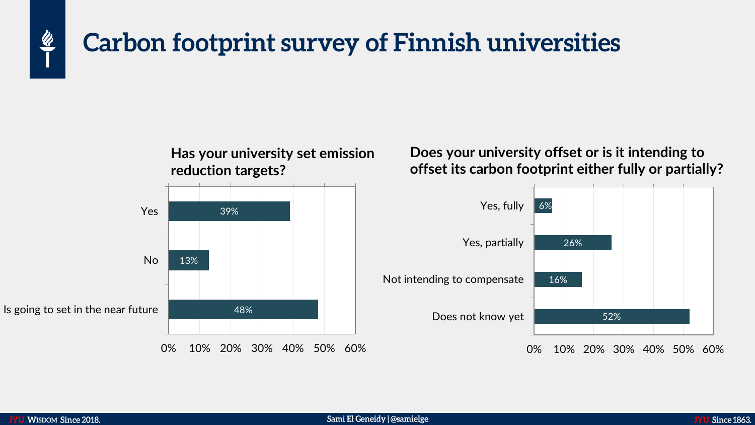#### Carbon footprint survey of Finnish universities



Does your university offset or is it intending to offset its carbon footprint either fully or partially?



 $\frac{\mathscr{U}}{\mathscr{U}}$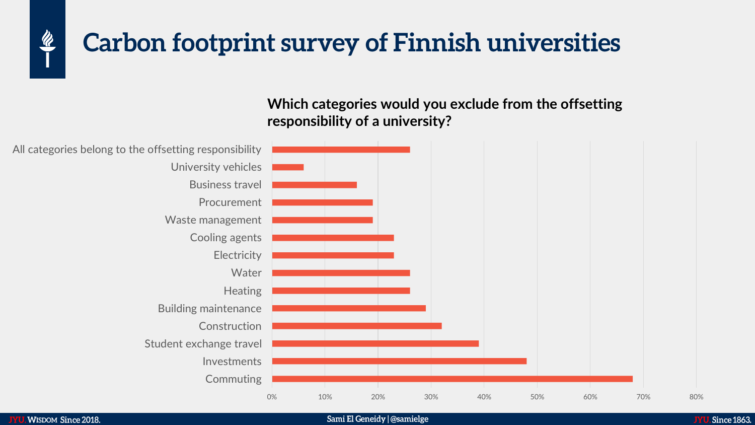

#### **Carbon footprint survey of Finnish universities**

Which categories would you exclude from the offsetting responsibility of a university?

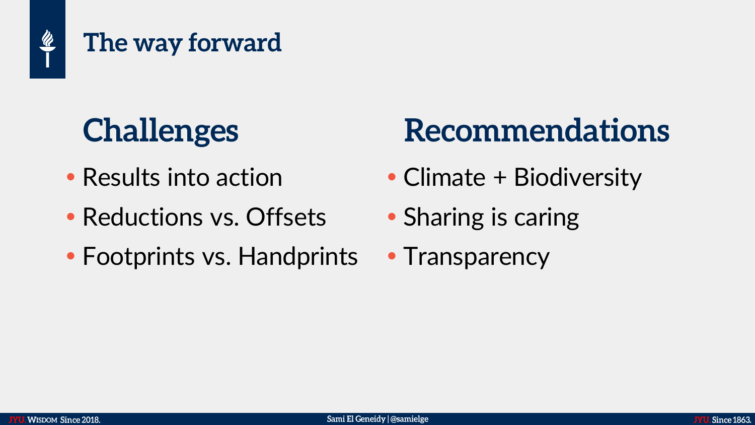

# **Challenges**

- Results into action
- Reductions vs. Offsets
- Footprints vs. Handprints

## Recommendations

- Climate + Biodiversity
- Sharing is caring
- Transparency